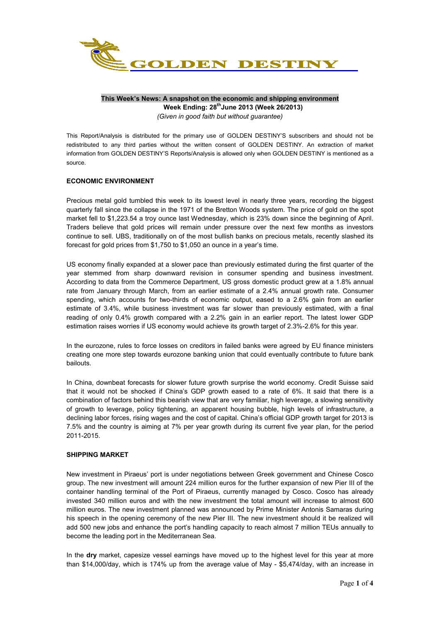

### **This Week's News: A snapshot on the economic and shipping environment Week Ending: 28thJune 2013 (Week 26/2013)** *(Given in good faith but without guarantee)*

This Report/Analysis is distributed for the primary use of GOLDEN DESTINY'S subscribers and should not be redistributed to any third parties without the written consent of GOLDEN DESTINY. An extraction of market information from GOLDEN DESTINY'S Reports/Analysis is allowed only when GOLDEN DESTINY is mentioned as a source.

# **ECONOMIC ENVIRONMENT**

Precious metal gold tumbled this week to its lowest level in nearly three years, recording the biggest quarterly fall since the collapse in the 1971 of the Bretton Woods system. The price of gold on the spot market fell to \$1,223.54 a troy ounce last Wednesday, which is 23% down since the beginning of April. Traders believe that gold prices will remain under pressure over the next few months as investors continue to sell. UBS, traditionally on of the most bullish banks on precious metals, recently slashed its forecast for gold prices from \$1,750 to \$1,050 an ounce in a year's time.

US economy finally expanded at a slower pace than previously estimated during the first quarter of the year stemmed from sharp downward revision in consumer spending and business investment. According to data from the Commerce Department, US gross domestic product grew at a 1.8% annual rate from January through March, from an earlier estimate of a 2.4% annual growth rate. Consumer spending, which accounts for two-thirds of economic output, eased to a 2.6% gain from an earlier estimate of 3.4%, while business investment was far slower than previously estimated, with a final reading of only 0.4% growth compared with a 2.2% gain in an earlier report. The latest lower GDP estimation raises worries if US economy would achieve its growth target of 2.3%-2.6% for this year.

In the eurozone, rules to force losses on creditors in failed banks were agreed by EU finance ministers creating one more step towards eurozone banking union that could eventually contribute to future bank bailouts.

In China, downbeat forecasts for slower future growth surprise the world economy. Credit Suisse said that it would not be shocked if China's GDP growth eased to a rate of 6%. It said that there is a combination of factors behind this bearish view that are very familiar, high leverage, a slowing sensitivity of growth to leverage, policy tightening, an apparent housing bubble, high levels of infrastructure, a declining labor forces, rising wages and the cost of capital. China's official GDP growth target for 2013 is 7.5% and the country is aiming at 7% per year growth during its current five year plan, for the period 2011-2015.

### **SHIPPING MARKET**

New investment in Piraeus' port is under negotiations between Greek government and Chinese Cosco group. The new investment will amount 224 million euros for the further expansion of new Pier III of the container handling terminal of the Port of Piraeus, currently managed by Cosco. Cosco has already invested 340 million euros and with the new investment the total amount will increase to almost 600 million euros. The new investment planned was announced by Prime Minister Antonis Samaras during his speech in the opening ceremony of the new Pier III. The new investment should it be realized will add 500 new jobs and enhance the port's handling capacity to reach almost 7 million TEUs annually to become the leading port in the Mediterranean Sea.

In the **dry** market, capesize vessel earnings have moved up to the highest level for this year at more than \$14,000/day, which is 174% up from the average value of May - \$5,474/day, with an increase in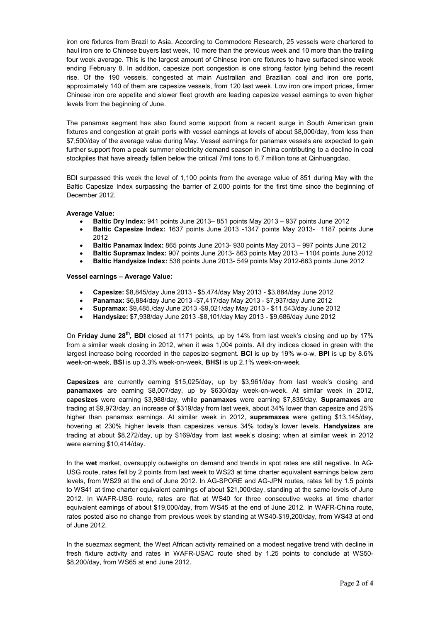iron ore fixtures from Brazil to Asia. According to Commodore Research, 25 vessels were chartered to haul iron ore to Chinese buyers last week, 10 more than the previous week and 10 more than the trailing four week average. This is the largest amount of Chinese iron ore fixtures to have surfaced since week ending February 8. In addition, capesize port congestion is one strong factor lying behind the recent rise. Of the 190 vessels, congested at main Australian and Brazilian coal and iron ore ports, approximately 140 of them are capesize vessels, from 120 last week. Low iron ore import prices, firmer Chinese iron ore appetite and slower fleet growth are leading capesize vessel earnings to even higher levels from the beginning of June.

The panamax segment has also found some support from a recent surge in South American grain fixtures and congestion at grain ports with vessel earnings at levels of about \$8,000/day, from less than \$7,500/day of the average value during May. Vessel earnings for panamax vessels are expected to gain further support from a peak summer electricity demand season in China contributing to a decline in coal stockpiles that have already fallen below the critical 7mil tons to 6.7 million tons at Qinhuangdao.

BDI surpassed this week the level of 1,100 points from the average value of 851 during May with the Baltic Capesize Index surpassing the barrier of 2,000 points for the first time since the beginning of December 2012.

#### **Average Value:**

- **Baltic Dry Index:** 941 points June 2013– 851 points May 2013 937 points June 2012
- **Baltic Capesize Index:** 1637 points June 2013 -1347 points May 2013- 1187 points June 2012
- **Baltic Panamax Index:** 865 points June 2013- 930 points May 2013 997 points June 2012
- **Baltic Supramax Index:** 907 points June 2013- 863 points May 2013 1104 points June 2012
- **Baltic Handysize Index:** 538 points June 2013- 549 points May 2012-663 points June 2012

#### **Vessel earnings – Average Value:**

- **Capesize:** \$8,845/day June 2013 \$5,474/day May 2013 \$3,884/day June 2012
- **Panamax:** \$6,884/day June 2013 -\$7,417/day May 2013 \$7,937/day June 2012
- **Supramax:** \$9,485./day June 2013 -\$9,021/day May 2013 \$11,543/day June 2012
- **Handysize:** \$7,938/day June 2013 -\$8,101/day May 2013 \$9,686/day June 2012

On **Friday June 28th, BDI** closed at 1171 points, up by 14% from last week's closing and up by 17% from a similar week closing in 2012, when it was 1,004 points. All dry indices closed in green with the largest increase being recorded in the capesize segment. **BCI** is up by 19% w-o-w, **BPI** is up by 8.6% week-on-week, **BSI** is up 3.3% week-on-week, **BHSI** is up 2.1% week-on-week.

**Capesizes** are currently earning \$15,025/day, up by \$3,961/day from last week's closing and **panamaxes** are earning \$8,007/day, up by \$630/day week-on-week. At similar week in 2012, **capesizes** were earning \$3,988/day, while **panamaxes** were earning \$7,835/day. **Supramaxes** are trading at \$9,973/day, an increase of \$319/day from last week, about 34% lower than capesize and 25% higher than panamax earnings. At similar week in 2012, **supramaxes** were getting \$13,145/day, hovering at 230% higher levels than capesizes versus 34% today's lower levels. **Handysizes** are trading at about \$8,272/day, up by \$169/day from last week's closing; when at similar week in 2012 were earning \$10,414/day.

In the **wet** market, oversupply outweighs on demand and trends in spot rates are still negative. In AG-USG route, rates fell by 2 points from last week to WS23 at time charter equivalent earnings below zero levels, from WS29 at the end of June 2012. In AG-SPORE and AG-JPN routes, rates fell by 1.5 points to WS41 at time charter equivalent earnings of about \$21,000/day, standing at the same levels of June 2012. In WAFR-USG route, rates are flat at WS40 for three consecutive weeks at time charter equivalent earnings of about \$19,000/day, from WS45 at the end of June 2012. In WAFR-China route, rates posted also no change from previous week by standing at WS40-\$19,200/day, from WS43 at end of June 2012.

In the suezmax segment, the West African activity remained on a modest negative trend with decline in fresh fixture activity and rates in WAFR-USAC route shed by 1.25 points to conclude at WS50- \$8,200/day, from WS65 at end June 2012.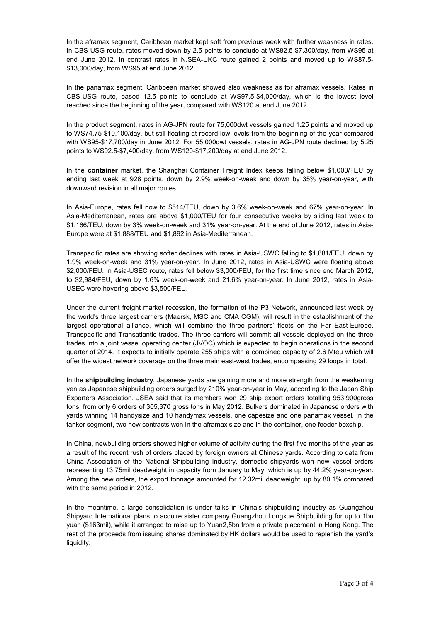In the aframax segment, Caribbean market kept soft from previous week with further weakness in rates. In CBS-USG route, rates moved down by 2.5 points to conclude at WS82.5-\$7,300/day, from WS95 at end June 2012. In contrast rates in N.SEA-UKC route gained 2 points and moved up to WS87.5- \$13,000/day, from WS95 at end June 2012.

In the panamax segment, Caribbean market showed also weakness as for aframax vessels. Rates in CBS-USG route, eased 12.5 points to conclude at WS97.5-\$4,000/day, which is the lowest level reached since the beginning of the year, compared with WS120 at end June 2012.

In the product segment, rates in AG-JPN route for 75,000dwt vessels gained 1.25 points and moved up to WS74.75-\$10,100/day, but still floating at record low levels from the beginning of the year compared with WS95-\$17,700/day in June 2012. For 55,000dwt vessels, rates in AG-JPN route declined by 5.25 points to WS92.5-\$7,400/day, from WS120-\$17,200/day at end June 2012.

In the **container** market, the Shanghai Container Freight Index keeps falling below \$1,000/TEU by ending last week at 928 points, down by 2.9% week-on-week and down by 35% year-on-year, with downward revision in all major routes.

In Asia-Europe, rates fell now to \$514/TEU, down by 3.6% week-on-week and 67% year-on-year. In Asia-Mediterranean, rates are above \$1,000/TEU for four consecutive weeks by sliding last week to \$1,166/TEU, down by 3% week-on-week and 31% year-on-year. At the end of June 2012, rates in Asia-Europe were at \$1,888/TEU and \$1,892 in Asia-Mediterranean.

Transpacific rates are showing softer declines with rates in Asia-USWC falling to \$1,881/FEU, down by 1.9% week-on-week and 31% year-on-year. In June 2012, rates in Asia-USWC were floating above \$2,000/FEU. In Asia-USEC route, rates fell below \$3,000/FEU, for the first time since end March 2012, to \$2,984/FEU, down by 1.6% week-on-week and 21.6% year-on-year. In June 2012, rates in Asia-USEC were hovering above \$3,500/FEU.

Under the current freight market recession, the formation of the P3 Network, announced last week by the world's three largest carriers (Maersk, MSC and CMA CGM), will result in the establishment of the largest operational alliance, which will combine the three partners' fleets on the Far East-Europe, Transpacific and Transatlantic trades. The three carriers will commit all vessels deployed on the three trades into a joint vessel operating center (JVOC) which is expected to begin operations in the second quarter of 2014. It expects to initially operate 255 ships with a combined capacity of 2.6 Mteu which will offer the widest network coverage on the three main east-west trades, encompassing 29 loops in total.

In the **shipbuilding industry**, Japanese yards are gaining more and more strength from the weakening yen as Japanese shipbuilding orders surged by 210% year-on-year in May, according to the Japan Ship Exporters Association. JSEA said that its members won 29 ship export orders totalling 953,900gross tons, from only 6 orders of 305,370 gross tons in May 2012. Bulkers dominated in Japanese orders with yards winning 14 handysize and 10 handymax vessels, one capesize and one panamax vessel. In the tanker segment, two new contracts won in the aframax size and in the container, one feeder boxship.

In China, newbuilding orders showed higher volume of activity during the first five months of the year as a result of the recent rush of orders placed by foreign owners at Chinese yards. According to data from China Association of the National Shipbuilding Industry, domestic shipyards won new vessel orders representing 13,75mil deadweight in capacity from January to May, which is up by 44.2% year-on-year. Among the new orders, the export tonnage amounted for 12,32mil deadweight, up by 80.1% compared with the same period in 2012.

In the meantime, a large consolidation is under talks in China's shipbuilding industry as Guangzhou Shipyard International plans to acquire sister company Guangzhou Longxue Shipbuilding for up to 1bn yuan (\$163mil), while it arranged to raise up to Yuan2,5bn from a private placement in Hong Kong. The rest of the proceeds from issuing shares dominated by HK dollars would be used to replenish the yard's liquidity.